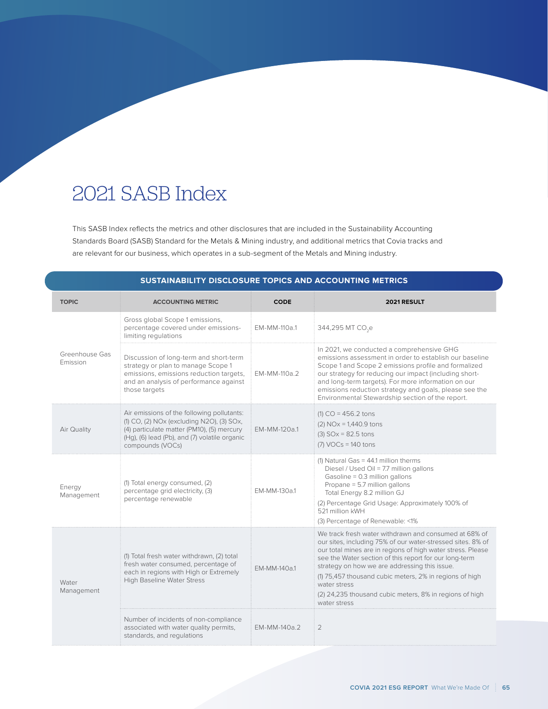## 2021 SASB Index

This SASB Index reflects the metrics and other disclosures that are included in the Sustainability Accounting Standards Board (SASB) Standard for the Metals & Mining industry, and additional metrics that Covia tracks and are relevant for our business, which operates in a sub-segment of the Metals and Mining industry.

| <b>SUSTAINABILITY DISCLOSURE TOPICS AND ACCOUNTING METRICS</b> |                                                                                                                                                                                                            |              |                                                                                                                                                                                                                                                                                                                                                                                                                                                      |  |
|----------------------------------------------------------------|------------------------------------------------------------------------------------------------------------------------------------------------------------------------------------------------------------|--------------|------------------------------------------------------------------------------------------------------------------------------------------------------------------------------------------------------------------------------------------------------------------------------------------------------------------------------------------------------------------------------------------------------------------------------------------------------|--|
| <b>TOPIC</b>                                                   | <b>ACCOUNTING METRIC</b>                                                                                                                                                                                   | <b>CODE</b>  | 2021 RESULT                                                                                                                                                                                                                                                                                                                                                                                                                                          |  |
| Greenhouse Gas<br>Emission                                     | Gross global Scope 1 emissions,<br>percentage covered under emissions-<br>limiting regulations                                                                                                             | EM-MM-110a.1 | 344,295 MT CO <sub>2</sub> e                                                                                                                                                                                                                                                                                                                                                                                                                         |  |
|                                                                | Discussion of long-term and short-term<br>strategy or plan to manage Scope 1<br>emissions, emissions reduction targets,<br>and an analysis of performance against<br>those targets                         | EM-MM-110a.2 | In 2021, we conducted a comprehensive GHG<br>emissions assessment in order to establish our baseline<br>Scope 1 and Scope 2 emissions profile and formalized<br>our strategy for reducing our impact (including short-<br>and long-term targets). For more information on our<br>emissions reduction strategy and goals, please see the<br>Environmental Stewardship section of the report.                                                          |  |
| Air Quality                                                    | Air emissions of the following pollutants:<br>(1) CO, (2) NOx (excluding N2O), (3) SOx,<br>(4) particulate matter (PM10), (5) mercury<br>(Hg), (6) lead (Pb), and (7) volatile organic<br>compounds (VOCs) | EM-MM-120a.1 | $(1) CO = 456.2$ tons<br>$(2)$ NOx = 1,440.9 tons<br>$(3)$ SOx = 82.5 tons<br>$(7)$ VOCs = 140 tons                                                                                                                                                                                                                                                                                                                                                  |  |
| Energy<br>Management                                           | (1) Total energy consumed, (2)<br>percentage grid electricity, (3)<br>percentage renewable                                                                                                                 | EM-MM-130a.1 | $(1)$ Natural Gas = 44.1 million therms<br>Diesel / Used Oil = 7.7 million gallons<br>Gasoline = 0.3 million gallons<br>Propane = 5.7 million gallons<br>Total Energy 8.2 million GJ<br>(2) Percentage Grid Usage: Approximately 100% of<br>521 million kWH<br>(3) Percentage of Renewable: <1%                                                                                                                                                      |  |
| Water<br>Management                                            | (1) Total fresh water withdrawn, (2) total<br>fresh water consumed, percentage of<br>each in regions with High or Extremely<br><b>High Baseline Water Stress</b>                                           | EM-MM-140a.1 | We track fresh water withdrawn and consumed at 68% of<br>our sites, including 75% of our water-stressed sites. 8% of<br>our total mines are in regions of high water stress. Please<br>see the Water section of this report for our long-term<br>strategy on how we are addressing this issue.<br>(1) 75,457 thousand cubic meters, 2% in regions of high<br>water stress<br>(2) 24,235 thousand cubic meters, 8% in regions of high<br>water stress |  |
|                                                                | Number of incidents of non-compliance<br>associated with water quality permits,<br>standards, and regulations                                                                                              | EM-MM-140a.2 | $\overline{2}$                                                                                                                                                                                                                                                                                                                                                                                                                                       |  |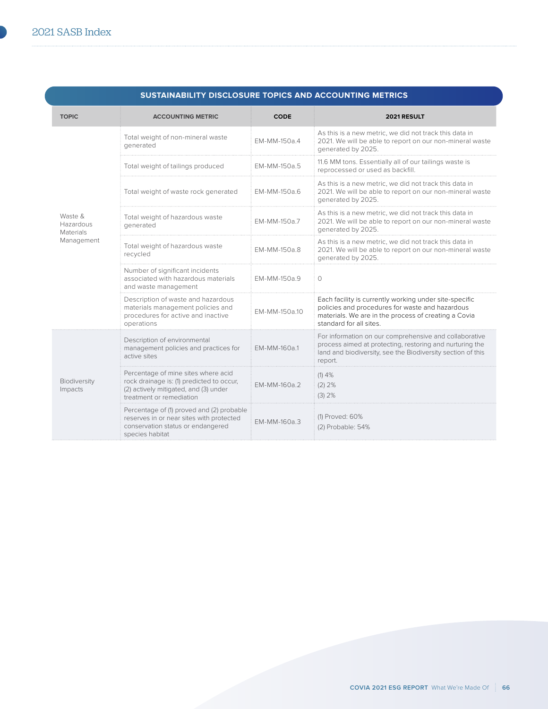| SUSTAINABILITY DISCLOSURE TOPICS AND ACCOUNTING METRICS |                                                                                                                                                       |               |                                                                                                                                                                                              |
|---------------------------------------------------------|-------------------------------------------------------------------------------------------------------------------------------------------------------|---------------|----------------------------------------------------------------------------------------------------------------------------------------------------------------------------------------------|
| <b>TOPIC</b>                                            | <b>ACCOUNTING METRIC</b>                                                                                                                              | <b>CODE</b>   | 2021 RESULT                                                                                                                                                                                  |
| Waste &<br>Hazardous<br>Materials<br>Management         | Total weight of non-mineral waste<br>generated                                                                                                        | EM-MM-150a.4  | As this is a new metric, we did not track this data in<br>2021. We will be able to report on our non-mineral waste<br>generated by 2025.                                                     |
|                                                         | Total weight of tailings produced                                                                                                                     | EM-MM-150a.5  | 11.6 MM tons. Essentially all of our tailings waste is<br>reprocessed or used as backfill.                                                                                                   |
|                                                         | Total weight of waste rock generated                                                                                                                  | EM-MM-150a.6  | As this is a new metric, we did not track this data in<br>2021. We will be able to report on our non-mineral waste<br>generated by 2025.                                                     |
|                                                         | Total weight of hazardous waste<br>generated                                                                                                          | EM-MM-150a.7  | As this is a new metric, we did not track this data in<br>2021. We will be able to report on our non-mineral waste<br>generated by 2025.                                                     |
|                                                         | Total weight of hazardous waste<br>recycled                                                                                                           | EM-MM-150a.8  | As this is a new metric, we did not track this data in<br>2021. We will be able to report on our non-mineral waste<br>generated by 2025.                                                     |
|                                                         | Number of significant incidents<br>associated with hazardous materials<br>and waste management                                                        | EM-MM-150a.9  | $\circ$                                                                                                                                                                                      |
|                                                         | Description of waste and hazardous<br>materials management policies and<br>procedures for active and inactive<br>operations                           | EM-MM-150a.10 | Each facility is currently working under site-specific<br>policies and procedures for waste and hazardous<br>materials. We are in the process of creating a Covia<br>standard for all sites. |
| Biodiversity<br>Impacts                                 | Description of environmental<br>management policies and practices for<br>active sites                                                                 | EM-MM-160a.1  | For information on our comprehensive and collaborative<br>process aimed at protecting, restoring and nurturing the<br>land and biodiversity, see the Biodiversity section of this<br>report. |
|                                                         | Percentage of mine sites where acid<br>rock drainage is: (1) predicted to occur,<br>(2) actively mitigated, and (3) under<br>treatment or remediation | EM-MM-160a.2  | $(1)$ 4%<br>(2) 2%<br>(3) 2%                                                                                                                                                                 |
|                                                         | Percentage of (1) proved and (2) probable<br>reserves in or near sites with protected<br>conservation status or endangered<br>species habitat         | EM-MM-160a.3  | (1) Proved: 60%<br>(2) Probable: 54%                                                                                                                                                         |

## **SUSTAINABILITY DISCLOSURE TOPICS AND ACCOUNTING METRICS**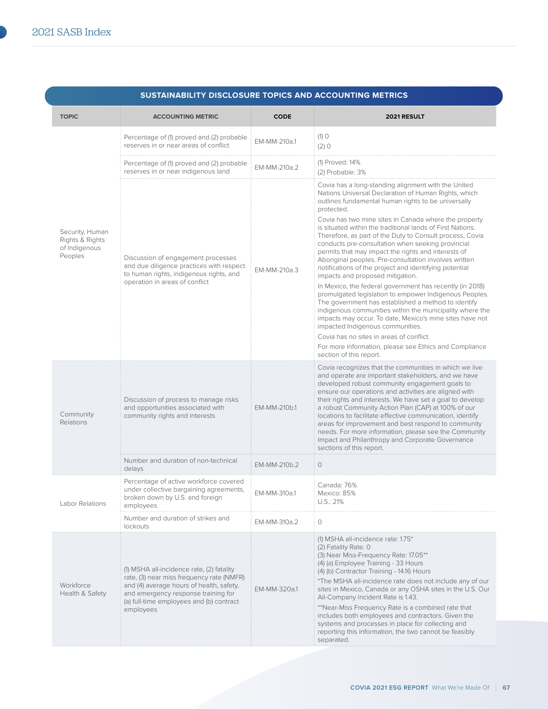| SUSTAINABILITY DISCLOSURE TOPICS AND ACCOUNTING METRICS        |                                                                                                                                                                                                                                    |              |                                                                                                                                                                                                                                                                                                                                                                                                                                                                                                                                                                                                                                                                                                                                                                                                                                                                                                                                                                                                                                                                                                                  |
|----------------------------------------------------------------|------------------------------------------------------------------------------------------------------------------------------------------------------------------------------------------------------------------------------------|--------------|------------------------------------------------------------------------------------------------------------------------------------------------------------------------------------------------------------------------------------------------------------------------------------------------------------------------------------------------------------------------------------------------------------------------------------------------------------------------------------------------------------------------------------------------------------------------------------------------------------------------------------------------------------------------------------------------------------------------------------------------------------------------------------------------------------------------------------------------------------------------------------------------------------------------------------------------------------------------------------------------------------------------------------------------------------------------------------------------------------------|
| <b>TOPIC</b>                                                   | <b>ACCOUNTING METRIC</b>                                                                                                                                                                                                           | <b>CODE</b>  | 2021 RESULT                                                                                                                                                                                                                                                                                                                                                                                                                                                                                                                                                                                                                                                                                                                                                                                                                                                                                                                                                                                                                                                                                                      |
|                                                                | Percentage of (1) proved and (2) probable<br>reserves in or near areas of conflict                                                                                                                                                 | EM-MM-210a.1 | $(1)$ O<br>(2) 0                                                                                                                                                                                                                                                                                                                                                                                                                                                                                                                                                                                                                                                                                                                                                                                                                                                                                                                                                                                                                                                                                                 |
|                                                                | Percentage of (1) proved and (2) probable<br>reserves in or near indigenous land                                                                                                                                                   | EM-MM-210a.2 | (1) Proved: 14%<br>(2) Probable: 3%                                                                                                                                                                                                                                                                                                                                                                                                                                                                                                                                                                                                                                                                                                                                                                                                                                                                                                                                                                                                                                                                              |
| Security, Human<br>Rights & Rights<br>of Indigenous<br>Peoples | Discussion of engagement processes<br>and due diligence practices with respect<br>to human rights, indigenous rights, and<br>operation in areas of conflict                                                                        | EM-MM-210a.3 | Covia has a long-standing alignment with the United<br>Nations Universal Declaration of Human Rights, which<br>outlines fundamental human rights to be universally<br>protected.<br>Covia has two mine sites in Canada where the property<br>is situated within the traditional lands of First Nations.<br>Therefore, as part of the Duty to Consult process, Covia<br>conducts pre-consultation when seeking provincial<br>permits that may impact the rights and interests of<br>Aboriginal peoples. Pre-consultation involves written<br>notifications of the project and identifying potential<br>impacts and proposed mitigation.<br>In Mexico, the federal government has recently (in 2018)<br>promulgated legislation to empower Indigenous Peoples.<br>The government has established a method to identify<br>indigenous communities within the municipality where the<br>impacts may occur. To date, Mexico's mine sites have not<br>impacted Indigenous communities.<br>Covia has no sites in areas of conflict.<br>For more information, please see Ethics and Compliance<br>section of this report. |
| Community<br>Relations                                         | Discussion of process to manage risks<br>and opportunities associated with<br>community rights and interests                                                                                                                       | EM-MM-210b.1 | Covia recognizes that the communities in which we live<br>and operate are important stakeholders, and we have<br>developed robust community engagement goals to<br>ensure our operations and activities are aligned with<br>their rights and interests. We have set a goal to develop<br>a robust Community Action Plan (CAP) at 100% of our<br>locations to facilitate effective communication, identify<br>areas for improvement and best respond to community<br>needs. For more information, please see the Community<br>Impact and Philanthropy and Corporate Governance<br>sections of this report.                                                                                                                                                                                                                                                                                                                                                                                                                                                                                                        |
|                                                                | Number and duration of non-technical<br>delays                                                                                                                                                                                     | EM-MM-210b.2 | $\circ$                                                                                                                                                                                                                                                                                                                                                                                                                                                                                                                                                                                                                                                                                                                                                                                                                                                                                                                                                                                                                                                                                                          |
| Labor Relations                                                | Percentage of active workforce covered<br>under collective bargaining agreements,<br>broken down by U.S. and foreign<br>employees                                                                                                  | EM-MM-310a.1 | Canada: 76%<br>Mexico: 85%<br>U.S.: 21%                                                                                                                                                                                                                                                                                                                                                                                                                                                                                                                                                                                                                                                                                                                                                                                                                                                                                                                                                                                                                                                                          |
|                                                                | Number and duration of strikes and<br>lockouts                                                                                                                                                                                     | EM-MM-310a.2 | 0                                                                                                                                                                                                                                                                                                                                                                                                                                                                                                                                                                                                                                                                                                                                                                                                                                                                                                                                                                                                                                                                                                                |
| Workforce<br>Health & Safety                                   | (1) MSHA all-incidence rate, (2) fatality<br>rate, (3) near miss frequency rate (NMFR)<br>and (4) average hours of health, safety,<br>and emergency response training for<br>(a) full-time employees and (b) contract<br>employees | EM-MM-320a.1 | (1) MSHA all-incidence rate: 1.75*<br>(2) Fatality Rate: 0<br>(3) Near Miss-Frequency Rate: 17.05**<br>(4) (a) Employee Training - 33 Hours<br>(4) (b) Contractor Training - 14.16 Hours<br>*The MSHA all-incidence rate does not include any of our<br>sites in Mexico, Canada or any OSHA sites in the U.S. Our<br>All-Company Incident Rate is 1.43.<br>**Near-Miss Frequency Rate is a combined rate that<br>includes both employees and contractors. Given the<br>systems and processes in place for collecting and<br>reporting this information, the two cannot be feasibly<br>separated.                                                                                                                                                                                                                                                                                                                                                                                                                                                                                                                 |